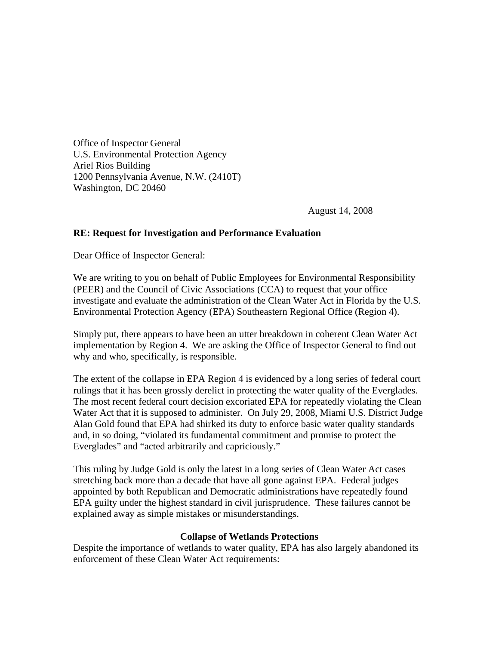Office of Inspector General U.S. Environmental Protection Agency Ariel Rios Building 1200 Pennsylvania Avenue, N.W. (2410T) Washington, DC 20460

August 14, 2008

## **RE: Request for Investigation and Performance Evaluation**

Dear Office of Inspector General:

We are writing to you on behalf of Public Employees for Environmental Responsibility (PEER) and the Council of Civic Associations (CCA) to request that your office investigate and evaluate the administration of the Clean Water Act in Florida by the U.S. Environmental Protection Agency (EPA) Southeastern Regional Office (Region 4).

Simply put, there appears to have been an utter breakdown in coherent Clean Water Act implementation by Region 4. We are asking the Office of Inspector General to find out why and who, specifically, is responsible.

The extent of the collapse in EPA Region 4 is evidenced by a long series of federal court rulings that it has been grossly derelict in protecting the water quality of the Everglades. The most recent federal court decision excoriated EPA for repeatedly violating the Clean Water Act that it is supposed to administer. On July 29, 2008, Miami U.S. District Judge Alan Gold found that EPA had shirked its duty to enforce basic water quality standards and, in so doing, "violated its fundamental commitment and promise to protect the Everglades" and "acted arbitrarily and capriciously."

This ruling by Judge Gold is only the latest in a long series of Clean Water Act cases stretching back more than a decade that have all gone against EPA. Federal judges appointed by both Republican and Democratic administrations have repeatedly found EPA guilty under the highest standard in civil jurisprudence. These failures cannot be explained away as simple mistakes or misunderstandings.

## **Collapse of Wetlands Protections**

Despite the importance of wetlands to water quality, EPA has also largely abandoned its enforcement of these Clean Water Act requirements: